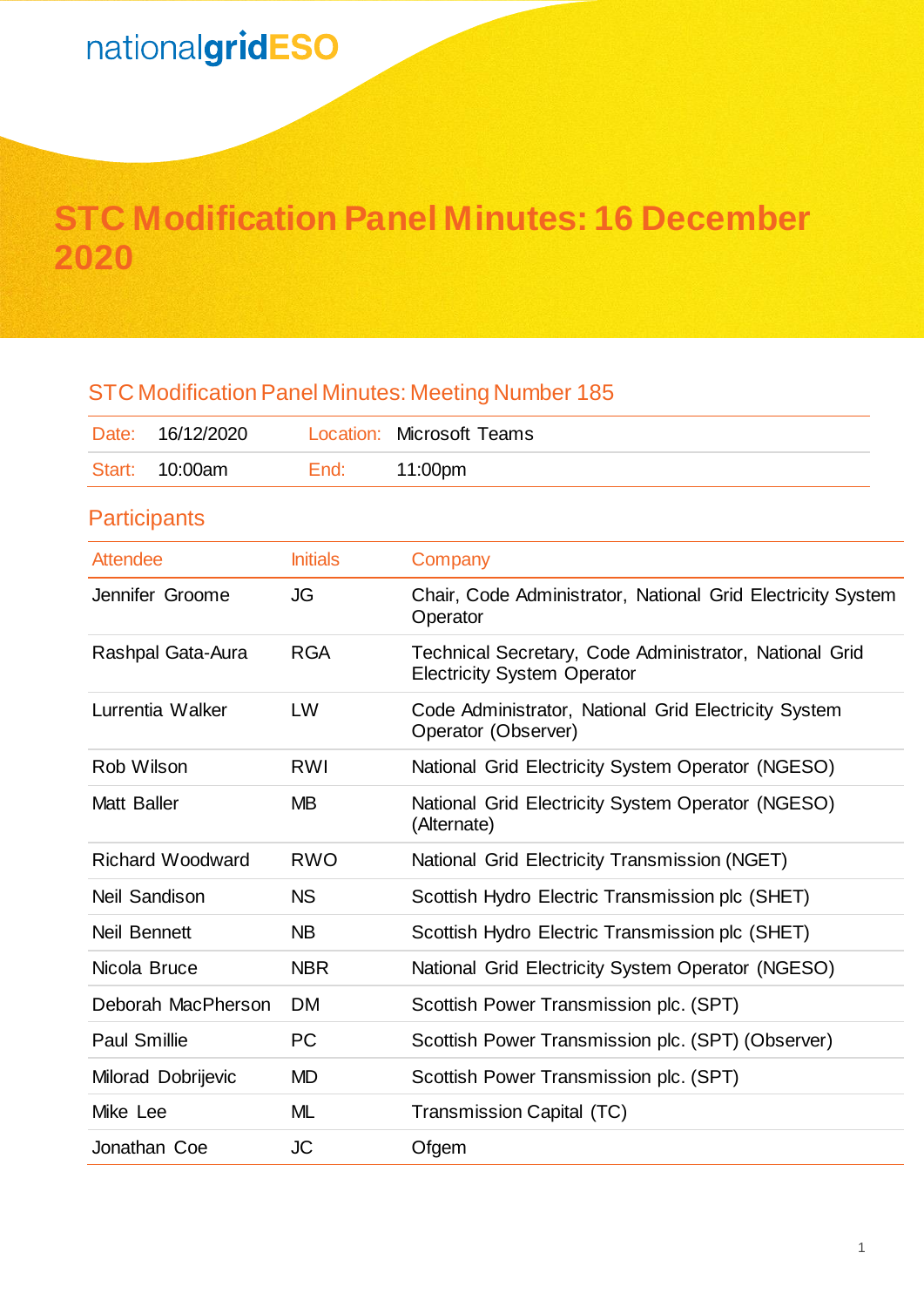# **STC Modification Panel Minutes: 16 December 2020**

| 16/12/2020<br>Date:     |                 | <b>Location: Microsoft Teams</b>                                                             |
|-------------------------|-----------------|----------------------------------------------------------------------------------------------|
| 10:00am<br>Start:       | End:            | 11:00pm                                                                                      |
| <b>Participants</b>     |                 |                                                                                              |
| <b>Attendee</b>         | <b>Initials</b> | Company                                                                                      |
| Jennifer Groome         | JG              | Chair, Code Administrator, National Grid Electricity System<br>Operator                      |
| Rashpal Gata-Aura       | <b>RGA</b>      | Technical Secretary, Code Administrator, National Grid<br><b>Electricity System Operator</b> |
| Lurrentia Walker        | LW              | Code Administrator, National Grid Electricity System<br>Operator (Observer)                  |
| Rob Wilson              | <b>RWI</b>      | National Grid Electricity System Operator (NGESO)                                            |
| <b>Matt Baller</b>      | <b>MB</b>       | National Grid Electricity System Operator (NGESO)<br>(Alternate)                             |
| <b>Richard Woodward</b> | <b>RWO</b>      | National Grid Electricity Transmission (NGET)                                                |
| <b>Neil Sandison</b>    | <b>NS</b>       | Scottish Hydro Electric Transmission plc (SHET)                                              |
| Neil Bennett            | <b>NB</b>       | Scottish Hydro Electric Transmission plc (SHET)                                              |
| Nicola Bruce            | <b>NBR</b>      | National Grid Electricity System Operator (NGESO)                                            |
| Deborah MacPherson      | <b>DM</b>       | Scottish Power Transmission plc. (SPT)                                                       |
| <b>Paul Smillie</b>     | <b>PC</b>       | Scottish Power Transmission plc. (SPT) (Observer)                                            |
| Milorad Dobrijevic      | <b>MD</b>       | Scottish Power Transmission plc. (SPT)                                                       |
| Mike Lee                | <b>ML</b>       | <b>Transmission Capital (TC)</b>                                                             |
| Jonathan Coe            | <b>JC</b>       | Ofgem                                                                                        |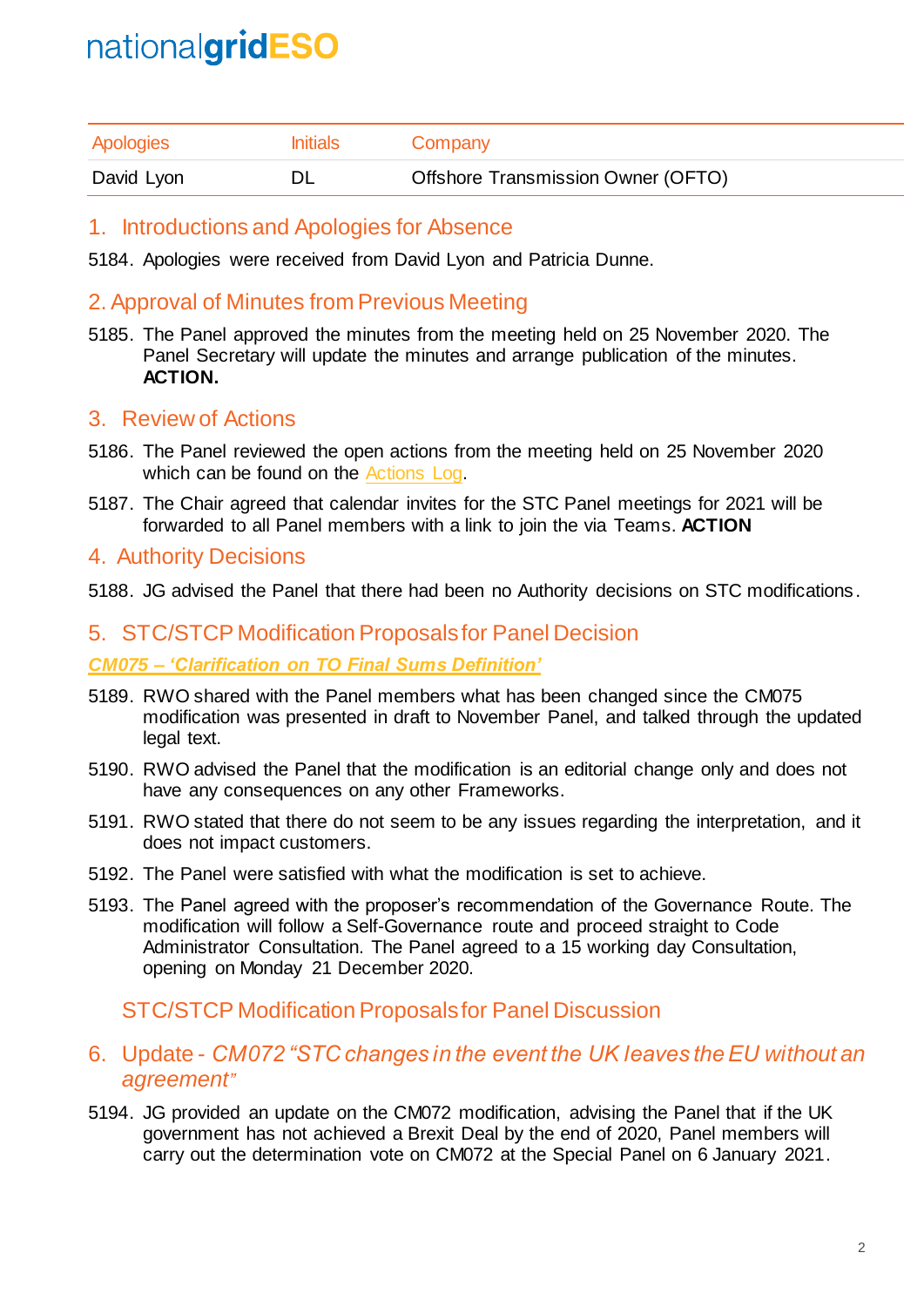| Apologies  | <b>Initials</b> | Company                            |
|------------|-----------------|------------------------------------|
| David Lyon |                 | Offshore Transmission Owner (OFTO) |

## 1. Introductions and Apologies for Absence

5184. Apologies were received from David Lyon and Patricia Dunne.

## 2. Approval of Minutes from Previous Meeting

5185. The Panel approved the minutes from the meeting held on 25 November 2020. The Panel Secretary will update the minutes and arrange publication of the minutes. **ACTION.**

## 3. Review of Actions

- 5186. The Panel reviewed the open actions from the meeting held on 25 November 2020 which can be found on the [Actions Log.](https://www.nationalgrideso.com/industry-information/codes/system-operator-transmission-owner-code-stc-old/meetings/stc-panel-33)
- 5187. The Chair agreed that calendar invites for the STC Panel meetings for 2021 will be forwarded to all Panel members with a link to join the via Teams. **ACTION**

## 4. Authority Decisions

5188. JG advised the Panel that there had been no Authority decisions on STC modifications.

## 5. STC/STCP Modification Proposalsfor Panel Decision

#### *CM075 – 'Clarification on TO Final Sums Definition'*

- 5189. RWO shared with the Panel members what has been changed since the CM075 modification was presented in draft to November Panel, and talked through the updated legal text.
- 5190. RWO advised the Panel that the modification is an editorial change only and does not have any consequences on any other Frameworks.
- 5191. RWO stated that there do not seem to be any issues regarding the interpretation, and it does not impact customers.
- 5192. The Panel were satisfied with what the modification is set to achieve.
- 5193. The Panel agreed with the proposer's recommendation of the Governance Route. The modification will follow a Self-Governance route and proceed straight to Code Administrator Consultation. The Panel agreed to a 15 working day Consultation, opening on Monday 21 December 2020.

## STC/STCP Modification Proposals for Panel Discussion

## 6. Update - *CM072 "STC changes in the event the UK leaves the EU without an agreement"*

5194. JG provided an update on the CM072 modification, advising the Panel that if the UK government has not achieved a Brexit Deal by the end of 2020, Panel members will carry out the determination vote on CM072 at the Special Panel on 6 January 2021.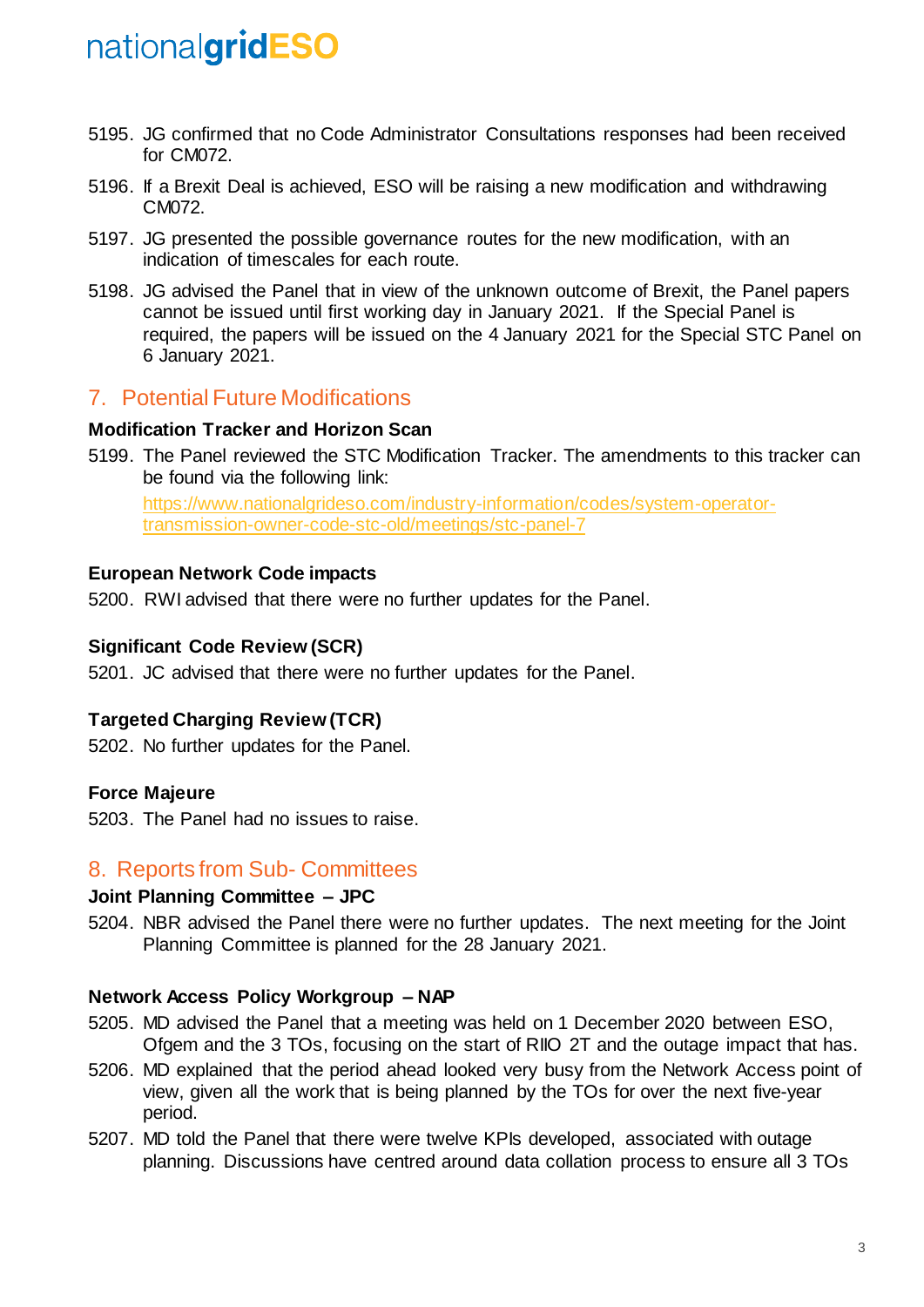- 5195. JG confirmed that no Code Administrator Consultations responses had been received for CM072.
- 5196. If a Brexit Deal is achieved, ESO will be raising a new modification and withdrawing CM072.
- 5197. JG presented the possible governance routes for the new modification, with an indication of timescales for each route.
- 5198. JG advised the Panel that in view of the unknown outcome of Brexit, the Panel papers cannot be issued until first working day in January 2021. If the Special Panel is required, the papers will be issued on the 4 January 2021 for the Special STC Panel on 6 January 2021.

# 7. Potential Future Modifications

#### **Modification Tracker and Horizon Scan**

5199. The Panel reviewed the STC Modification Tracker. The amendments to this tracker can be found via the following link:

[https://www.nationalgrideso.com/industry-information/codes/system-operator](https://www.nationalgrideso.com/industry-information/codes/system-operator-transmission-owner-code-stc-old/meetings/stc-panel-7)[transmission-owner-code-stc-old/meetings/stc-panel-7](https://www.nationalgrideso.com/industry-information/codes/system-operator-transmission-owner-code-stc-old/meetings/stc-panel-7)

#### **European Network Code impacts**

5200. RWI advised that there were no further updates for the Panel.

#### **Significant Code Review (SCR)**

5201. JC advised that there were no further updates for the Panel.

#### **Targeted Charging Review (TCR)**

5202. No further updates for the Panel.

#### **Force Majeure**

5203. The Panel had no issues to raise.

## 8. Reports from Sub- Committees

#### **Joint Planning Committee – JPC**

5204. NBR advised the Panel there were no further updates. The next meeting for the Joint Planning Committee is planned for the 28 January 2021.

#### **Network Access Policy Workgroup – NAP**

- 5205. MD advised the Panel that a meeting was held on 1 December 2020 between ESO, Ofgem and the 3 TOs, focusing on the start of RIIO 2T and the outage impact that has.
- 5206. MD explained that the period ahead looked very busy from the Network Access point of view, given all the work that is being planned by the TOs for over the next five-year period.
- 5207. MD told the Panel that there were twelve KPIs developed, associated with outage planning. Discussions have centred around data collation process to ensure all 3 TOs